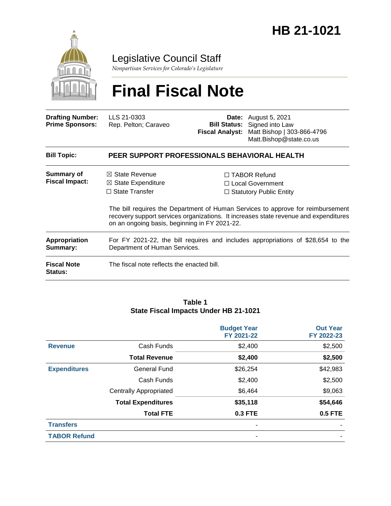

Legislative Council Staff

*Nonpartisan Services for Colorado's Legislature*

# **Final Fiscal Note**

| <b>Drafting Number:</b><br><b>Prime Sponsors:</b> | LLS 21-0303<br>Rep. Pelton; Caraveo                                                                                                  | <b>Fiscal Analyst:</b> | <b>Date:</b> August 5, 2021<br><b>Bill Status:</b> Signed into Law<br>Matt Bishop   303-866-4796<br>Matt.Bishop@state.co.us                                                                                                                                 |  |  |
|---------------------------------------------------|--------------------------------------------------------------------------------------------------------------------------------------|------------------------|-------------------------------------------------------------------------------------------------------------------------------------------------------------------------------------------------------------------------------------------------------------|--|--|
| <b>Bill Topic:</b>                                | PEER SUPPORT PROFESSIONALS BEHAVIORAL HEALTH                                                                                         |                        |                                                                                                                                                                                                                                                             |  |  |
| <b>Summary of</b><br><b>Fiscal Impact:</b>        | $\boxtimes$ State Revenue<br>$\boxtimes$ State Expenditure<br>$\Box$ State Transfer<br>on an ongoing basis, beginning in FY 2021-22. |                        | $\Box$ TABOR Refund<br>$\Box$ Local Government<br>$\Box$ Statutory Public Entity<br>The bill requires the Department of Human Services to approve for reimbursement<br>recovery support services organizations. It increases state revenue and expenditures |  |  |
| Appropriation<br>Summary:                         | For FY 2021-22, the bill requires and includes appropriations of \$28,654 to the<br>Department of Human Services.                    |                        |                                                                                                                                                                                                                                                             |  |  |
| <b>Fiscal Note</b><br><b>Status:</b>              | The fiscal note reflects the enacted bill.                                                                                           |                        |                                                                                                                                                                                                                                                             |  |  |

#### **Table 1 State Fiscal Impacts Under HB 21-1021**

|                     |                               | <b>Budget Year</b><br>FY 2021-22 | <b>Out Year</b><br>FY 2022-23 |
|---------------------|-------------------------------|----------------------------------|-------------------------------|
| <b>Revenue</b>      | Cash Funds                    | \$2,400                          | \$2,500                       |
|                     | <b>Total Revenue</b>          | \$2,400                          | \$2,500                       |
| <b>Expenditures</b> | <b>General Fund</b>           | \$26,254                         | \$42,983                      |
|                     | Cash Funds                    | \$2,400                          | \$2,500                       |
|                     | <b>Centrally Appropriated</b> | \$6,464                          | \$9,063                       |
|                     | <b>Total Expenditures</b>     | \$35,118                         | \$54,646                      |
|                     | <b>Total FTE</b>              | <b>0.3 FTE</b>                   | <b>0.5 FTE</b>                |
| <b>Transfers</b>    |                               | ٠                                |                               |
| <b>TABOR Refund</b> |                               | ٠                                |                               |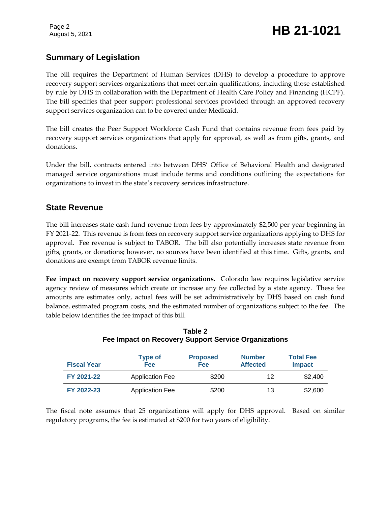# **Summary of Legislation**

The bill requires the Department of Human Services (DHS) to develop a procedure to approve recovery support services organizations that meet certain qualifications, including those established by rule by DHS in collaboration with the Department of Health Care Policy and Financing (HCPF). The bill specifies that peer support professional services provided through an approved recovery support services organization can to be covered under Medicaid.

The bill creates the Peer Support Workforce Cash Fund that contains revenue from fees paid by recovery support services organizations that apply for approval, as well as from gifts, grants, and donations.

Under the bill, contracts entered into between DHS' Office of Behavioral Health and designated managed service organizations must include terms and conditions outlining the expectations for organizations to invest in the state's recovery services infrastructure.

## **State Revenue**

The bill increases state cash fund revenue from fees by approximately \$2,500 per year beginning in FY 2021-22. This revenue is from fees on recovery support service organizations applying to DHS for approval. Fee revenue is subject to TABOR. The bill also potentially increases state revenue from gifts, grants, or donations; however, no sources have been identified at this time. Gifts, grants, and donations are exempt from TABOR revenue limits.

**Fee impact on recovery support service organizations.** Colorado law requires legislative service agency review of measures which create or increase any fee collected by a state agency. These fee amounts are estimates only, actual fees will be set administratively by DHS based on cash fund balance, estimated program costs, and the estimated number of organizations subject to the fee. The table below identifies the fee impact of this bill.

| <b>Fiscal Year</b> | <b>Type of</b><br><b>Fee</b> | <b>Proposed</b><br>Fee | <b>Number</b><br><b>Affected</b> | <b>Total Fee</b><br><b>Impact</b> |
|--------------------|------------------------------|------------------------|----------------------------------|-----------------------------------|
| FY 2021-22         | <b>Application Fee</b>       | \$200                  | 12                               | \$2,400                           |
| FY 2022-23         | <b>Application Fee</b>       | \$200                  | 13                               | \$2,600                           |

#### **Table 2 Fee Impact on Recovery Support Service Organizations**

The fiscal note assumes that 25 organizations will apply for DHS approval. Based on similar regulatory programs, the fee is estimated at \$200 for two years of eligibility.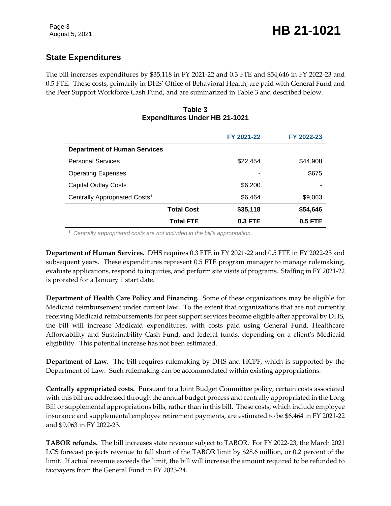# **State Expenditures**

The bill increases expenditures by \$35,118 in FY 2021-22 and 0.3 FTE and \$54,646 in FY 2022-23 and 0.5 FTE. These costs, primarily in DHS' Office of Behavioral Health, are paid with General Fund and the Peer Support Workforce Cash Fund, and are summarized in Table 3 and described below.

#### **Table 3 Expenditures Under HB 21-1021**

|                                           |                   | FY 2021-22 | FY 2022-23 |  |
|-------------------------------------------|-------------------|------------|------------|--|
| <b>Department of Human Services</b>       |                   |            |            |  |
| <b>Personal Services</b>                  |                   | \$22,454   | \$44,908   |  |
| <b>Operating Expenses</b>                 |                   |            | \$675      |  |
| <b>Capital Outlay Costs</b>               |                   | \$6,200    |            |  |
| Centrally Appropriated Costs <sup>1</sup> |                   | \$6,464    | \$9,063    |  |
|                                           | <b>Total Cost</b> | \$35,118   | \$54,646   |  |
|                                           | <b>Total FTE</b>  | $0.3$ FTE  | $0.5$ FTE  |  |

<sup>1</sup> *Centrally appropriated costs are not included in the bill's appropriation.*

**Department of Human Services.** DHS requires 0.3 FTE in FY 2021-22 and 0.5 FTE in FY 2022-23 and subsequent years. These expenditures represent 0.5 FTE program manager to manage rulemaking, evaluate applications, respond to inquiries, and perform site visits of programs. Staffing in FY 2021-22 is prorated for a January 1 start date.

**Department of Health Care Policy and Financing.** Some of these organizations may be eligible for Medicaid reimbursement under current law. To the extent that organizations that are not currently receiving Medicaid reimbursements for peer support services become eligible after approval by DHS, the bill will increase Medicaid expenditures, with costs paid using General Fund, Healthcare Affordability and Sustainability Cash Fund, and federal funds, depending on a client's Medicaid eligibility. This potential increase has not been estimated.

**Department of Law.** The bill requires rulemaking by DHS and HCPF, which is supported by the Department of Law. Such rulemaking can be accommodated within existing appropriations.

**Centrally appropriated costs.** Pursuant to a Joint Budget Committee policy, certain costs associated with this bill are addressed through the annual budget process and centrally appropriated in the Long Bill or supplemental appropriations bills, rather than in this bill. These costs, which include employee insurance and supplemental employee retirement payments, are estimated to be \$6,464 in FY 2021-22 and \$9,063 in FY 2022-23.

**TABOR refunds.** The bill increases state revenue subject to TABOR. For FY 2022-23, the March 2021 LCS forecast projects revenue to fall short of the TABOR limit by \$28.6 million, or 0.2 percent of the limit. If actual revenue exceeds the limit, the bill will increase the amount required to be refunded to taxpayers from the General Fund in FY 2023-24.